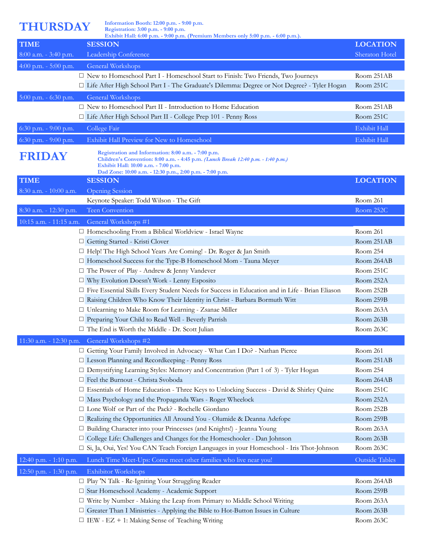**THURSDAY Information Booth: 12:00 p.m. - 9:00 p.m. Registration: 3:00 p.m. - 9:00 p.m.**

|                         | Exhibit Hall: 6:00 p.m. - 9:00 p.m. (Premium Members only 5:00 p.m. - 6:00 p.m.).                                                                                                                                                            |                 |
|-------------------------|----------------------------------------------------------------------------------------------------------------------------------------------------------------------------------------------------------------------------------------------|-----------------|
| <b>TIME</b>             | <b>SESSION</b>                                                                                                                                                                                                                               | <b>LOCATION</b> |
| $8:00$ a.m. - 3:40 p.m. | Leadership Conference                                                                                                                                                                                                                        | Sheraton Hotel  |
| 4:00 p.m. $-$ 5:00 p.m. | General Workshops                                                                                                                                                                                                                            |                 |
|                         | □ New to Homeschool Part I - Homeschool Start to Finish: Two Friends, Two Journeys                                                                                                                                                           | Room 251AB      |
|                         | □ Life After High School Part I - The Graduate's Dilemma: Degree or Not Degree? - Tyler Hogan                                                                                                                                                | Room 251C       |
| $5:00$ p.m. - 6:30 p.m. | General Workshops                                                                                                                                                                                                                            |                 |
|                         | $\Box$ New to Homeschool Part II - Introduction to Home Education                                                                                                                                                                            | Room 251AB      |
|                         | □ Life After High School Part II - College Prep 101 - Penny Ross                                                                                                                                                                             | Room 251C       |
| 6:30 p.m. - 9:00 p.m.   | College Fair                                                                                                                                                                                                                                 | Exhibit Hall    |
| 6:30 p.m. - 9:00 p.m.   | Exhibit Hall Preview for New to Homeschool                                                                                                                                                                                                   | Exhibit Hall    |
|                         |                                                                                                                                                                                                                                              |                 |
| <b>FRIDAY</b>           | Registration and Information: 8:00 a.m. - 7:00 p.m.<br>Children's Convention: 8:00 a.m. - 4:45 p.m. (Lunch Break 12:40 p.m. - 1:40 p.m.)<br>Exhibit Hall: 10:00 a.m. - 7:00 p.m.<br>Dad Zone: 10:00 a.m. - 12:30 p.m., 2:00 p.m. - 7:00 p.m. |                 |
| <b>TIME</b>             | <b>SESSION</b>                                                                                                                                                                                                                               | <b>LOCATION</b> |
| 8:30 a.m. - 10:00 a.m.  | <b>Opening Session</b>                                                                                                                                                                                                                       |                 |
|                         | Keynote Speaker: Todd Wilson - The Gift                                                                                                                                                                                                      | Room 261        |
| 8:30 a.m. - 12:30 p.m.  | Teen Convention                                                                                                                                                                                                                              | Room 252C       |
| 10:15 a.m. - 11:15 a.m. | General Workshops #1                                                                                                                                                                                                                         |                 |
|                         | □ Homeschooling From a Biblical Worldview - Israel Wayne                                                                                                                                                                                     | Room 261        |
|                         | Getting Started - Kristi Clover                                                                                                                                                                                                              | Room 251AB      |
|                         | □ Help! The High School Years Are Coming! - Dr. Roger & Jan Smith                                                                                                                                                                            | Room 254        |
|                         | $\Box$ Homeschool Success for the Type-B Homeschool Mom - Tauna Meyer                                                                                                                                                                        | Room 264AB      |
|                         | □ The Power of Play - Andrew & Jenny Vandever                                                                                                                                                                                                | Room 251C       |
|                         | □ Why Evolution Doesn't Work - Lenny Esposito                                                                                                                                                                                                | Room 252A       |
|                         | □ Five Essential Skills Every Student Needs for Success in Education and in Life - Brian Eliason                                                                                                                                             | Room 252B       |
|                         | Raising Children Who Know Their Identity in Christ - Barbara Bormuth Witt                                                                                                                                                                    | Room 259B       |
|                         | □ Unlearning to Make Room for Learning - Zsanae Miller                                                                                                                                                                                       | Room 263A       |
|                         | $\Box$ Preparing Your Child to Read Well - Beverly Parrish                                                                                                                                                                                   | Room 263B       |
|                         | □ The End is Worth the Middle - Dr. Scott Julian                                                                                                                                                                                             | Room 263C       |
|                         | 11:30 a.m. - 12:30 p.m. General Workshops #2                                                                                                                                                                                                 |                 |
|                         | □ Getting Your Family Involved in Advocacy - What Can I Do? - Nathan Pierce                                                                                                                                                                  | Room 261        |
|                         | $\Box$ Lesson Planning and Recordkeeping - Penny Ross                                                                                                                                                                                        | Room 251AB      |
|                         | $\Box$ Demystifying Learning Styles: Memory and Concentration (Part 1 of 3) - Tyler Hogan                                                                                                                                                    | Room 254        |
|                         | Feel the Burnout - Christa Svoboda                                                                                                                                                                                                           | Room 264AB      |
|                         | □ Essentials of Home Education - Three Keys to Unlocking Success - David & Shirley Quine                                                                                                                                                     | Room 251C       |
|                         | □ Mass Psychology and the Propaganda Wars - Roger Wheelock                                                                                                                                                                                   | Room 252A       |
|                         | □ Lone Wolf or Part of the Pack? - Rochelle Giordano                                                                                                                                                                                         | Room 252B       |
|                         | Realizing the Opportunities All Around You - Olumide & Deanna Adefope                                                                                                                                                                        | Room 259B       |
|                         | □ Building Character into your Princesses (and Knights!) - Jeanna Young                                                                                                                                                                      | Room 263A       |
|                         | □ College Life: Challenges and Changes for the Homeschooler - Dan Johnson                                                                                                                                                                    | Room 263B       |
|                         | □ Si, Ja, Oui, Yes! You CAN Teach Foreign Languages in your Homeschool - Iris Thot-Johnson                                                                                                                                                   | Room 263C       |
| 12:40 p.m. - 1:10 p.m.  | Lunch Time Meet-Ups: Come meet other families who live near you!                                                                                                                                                                             | Outside Tables  |
| 12:50 p.m. - 1:30 p.m.  | <b>Exhibitor Workshops</b>                                                                                                                                                                                                                   |                 |
|                         | □ Play 'N Talk - Re-Igniting Your Struggling Reader                                                                                                                                                                                          | Room 264AB      |
|                         | Star Homeschool Academy - Academic Support                                                                                                                                                                                                   | Room 259B       |
|                         | $\Box$ Write by Number - Making the Leap from Primary to Middle School Writing                                                                                                                                                               | Room 263A       |
|                         | Greater Than I Ministries - Applying the Bible to Hot-Button Issues in Culture                                                                                                                                                               | Room 263B       |
|                         | $\Box$ IEW - EZ + 1: Making Sense of Teaching Writing                                                                                                                                                                                        | Room 263C       |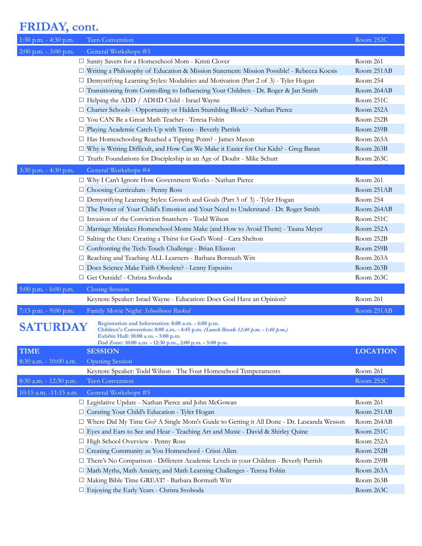## **FRIDAY, cont.**

| 1:30 p.m. - 4:30 p.m.   |                        | Teen Convention                                                                                                                                                                                                                              | Room 252C       |
|-------------------------|------------------------|----------------------------------------------------------------------------------------------------------------------------------------------------------------------------------------------------------------------------------------------|-----------------|
| 2:00 p.m. - 3:00 p.m.   |                        | General Workshops #3                                                                                                                                                                                                                         |                 |
|                         |                        | □ Sanity Savers for a Homeschool Mom - Kristi Clover                                                                                                                                                                                         | Room 261        |
|                         |                        | □ Writing a Philosophy of Education & Mission Statement: Mission Possible! - Rebecca Kocsis                                                                                                                                                  | Room 251AB      |
|                         |                        | □ Demystifying Learning Styles: Modalities and Motivation (Part 2 of 3) - Tyler Hogan                                                                                                                                                        | Room 254        |
|                         |                        | □ Transitioning from Controlling to Influencing Your Children - Dr. Roger & Jan Smith                                                                                                                                                        | Room 264AB      |
|                         |                        | $\Box$ Helping the ADD / ADHD Child - Israel Wayne                                                                                                                                                                                           | Room 251C       |
|                         |                        | □ Charter Schools - Opportunity or Hidden Stumbling Block? - Nathan Pierce                                                                                                                                                                   | Room 252A       |
|                         |                        | □ You CAN Be a Great Math Teacher - Teresa Foltin                                                                                                                                                                                            | Room 252B       |
|                         |                        | $\Box$ Playing Academic Catch-Up with Teens - Beverly Parrish                                                                                                                                                                                | Room 259B       |
|                         |                        | □ Has Homeschooling Reached a Tipping Point? - James Mason                                                                                                                                                                                   | Room 263A       |
|                         |                        | □ Why is Writing Difficult, and How Can We Make it Easier for Our Kids? - Greg Baran                                                                                                                                                         | Room 263B       |
|                         |                        | □ Truth: Foundations for Discipleship in an Age of Doubt - Mike Schutt                                                                                                                                                                       | Room 263C       |
| 3:30 p.m. - 4:30 p.m.   |                        | General Workshops #4                                                                                                                                                                                                                         |                 |
|                         |                        | $\hfill \Box$ Why I Can't Ignore How Government Works - Nathan Pierce                                                                                                                                                                        | Room 261        |
|                         |                        | □ Choosing Curriculum - Penny Ross                                                                                                                                                                                                           | Room 251AB      |
|                         |                        | $\Box$ Demystifying Learning Styles: Growth and Goals (Part 3 of 3) - Tyler Hogan                                                                                                                                                            | Room 254        |
|                         |                        | The Power of Your Child's Emotion and Your Need to Understand - Dr. Roger Smith                                                                                                                                                              | Room 264AB      |
|                         |                        | □ Invasion of the Conviction Snatchers - Todd Wilson                                                                                                                                                                                         | Room 251C       |
|                         |                        | □ Marriage Mistakes Homeschool Moms Make (and How to Avoid Them) - Tauna Meyer                                                                                                                                                               | Room 252A       |
|                         |                        | $\Box$ Salting the Oats: Creating a Thirst for God's Word - Cara Shelton                                                                                                                                                                     | Room 252B       |
|                         |                        | $\Box$ Confronting the Tech-Touch Challenge - Brian Eliason                                                                                                                                                                                  | Room 259B       |
|                         |                        | □ Reaching and Teaching ALL Learners - Barbara Bormuth Witt                                                                                                                                                                                  | Room 263A       |
|                         |                        | □ Does Science Make Faith Obsolete? - Lenny Esposito                                                                                                                                                                                         | Room 263B       |
|                         |                        | □ Get Outside! - Christa Svoboda                                                                                                                                                                                                             | Room 263C       |
| $5:00$ p.m. - 6:00 p.m. |                        | <b>Closing Session</b>                                                                                                                                                                                                                       |                 |
|                         |                        | Keynote Speaker: Israel Wayne - Education: Does God Have an Opinion?                                                                                                                                                                         | Room 261        |
| 7:15 p.m. - 9:00 p.m.   |                        | Family Movie Night: Schoolhouse Rocked                                                                                                                                                                                                       | Room 251AB      |
|                         | <b>SATURDAY</b>        | Registration and Information: 8:00 a.m. - 6:00 p.m.<br>Children's Convention: 8:00 a.m. - 4:45 p.m. (Lunch Break 12:40 p.m. - 1:40 p.m.)<br>Exhibit Hall: 10:00 a.m. - 5:00 p.m.<br>Dad Zone: 10:00 a.m. - 12:30 p.m., 2:00 p.m. - 5:00 p.m. |                 |
| <b>TIME</b>             |                        | <b>SESSION</b>                                                                                                                                                                                                                               | <b>LOCATION</b> |
|                         | 8:30 a.m. - 10:00 a.m. | <b>Opening Session</b>                                                                                                                                                                                                                       |                 |
|                         |                        | Keynote Speaker: Todd Wilson - The Four Homeschool Temperaments                                                                                                                                                                              | Room 261        |
|                         | 8:30 a.m. - 12:30 p.m. | Teen Convention                                                                                                                                                                                                                              | Room 252C       |
|                         | 10:15 a.m. -11:15 a.m. | General Workshops #5                                                                                                                                                                                                                         |                 |
|                         |                        | □ Legislative Update - Nathan Pierce and John McGowan                                                                                                                                                                                        | Room 261        |
|                         |                        | Curating Your Child's Education - Tyler Hogan                                                                                                                                                                                                | Room 251AB      |
|                         |                        | □ Where Did My Time Go? A Single Mom's Guide to Getting it All Done - Dr. Laseanda Wesson                                                                                                                                                    | Room 264AB      |
|                         |                        | Eyes and Ears to See and Hear - Teaching Art and Music - David & Shirley Quine                                                                                                                                                               | Room 251C       |
|                         |                        | □ High School Overview - Penny Ross                                                                                                                                                                                                          | Room 252A       |
|                         |                        | □ Creating Community as You Homeschool - Crissi Allen                                                                                                                                                                                        | Room 252B       |
|                         |                        | There's No Comparison - Different Academic Levels in your Children - Beverly Parrish                                                                                                                                                         | Room 259B       |
|                         |                        | □ Math Myths, Math Anxiety, and Math Learning Challenges - Teresa Foltin                                                                                                                                                                     | Room 263A       |
|                         |                        | □ Making Bible Time GREAT! - Barbara Bormuth Witt                                                                                                                                                                                            | Room 263B       |
|                         |                        | □ Enjoying the Early Years - Christa Svoboda                                                                                                                                                                                                 | Room 263C       |